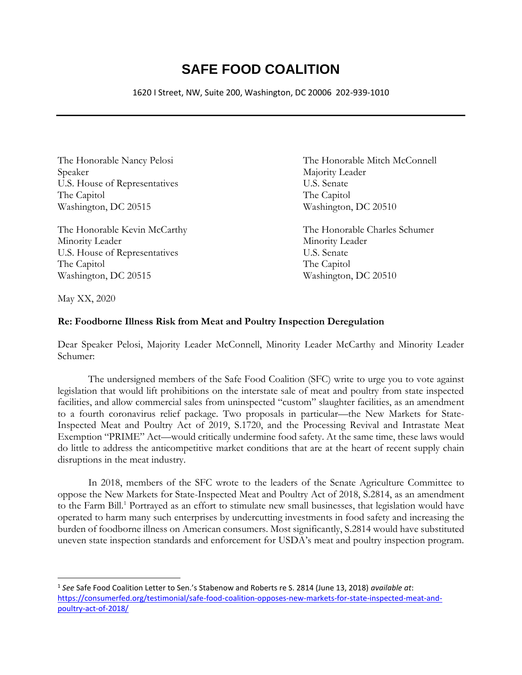## **SAFE FOOD COALITION**

1620 I Street, NW, Suite 200, Washington, DC 20006 202-939-1010

Speaker Majority Leader U.S. House of Representatives U.S. Senate The Capitol The Capitol Washington, DC 20515 Washington, DC 20510

Minority Leader Minority Leader U.S. House of Representatives U.S. Senate The Capitol The Capitol Washington, DC 20515 Washington, DC 20510

The Honorable Nancy Pelosi The Honorable Mitch McConnell

The Honorable Kevin McCarthy The Honorable Charles Schumer

May XX, 2020

## **Re: Foodborne Illness Risk from Meat and Poultry Inspection Deregulation**

Dear Speaker Pelosi, Majority Leader McConnell, Minority Leader McCarthy and Minority Leader Schumer:

The undersigned members of the Safe Food Coalition (SFC) write to urge you to vote against legislation that would lift prohibitions on the interstate sale of meat and poultry from state inspected facilities, and allow commercial sales from uninspected "custom" slaughter facilities, as an amendment to a fourth coronavirus relief package. Two proposals in particular—the New Markets for State-Inspected Meat and Poultry Act of 2019, S.1720, and the Processing Revival and Intrastate Meat Exemption "PRIME" Act—would critically undermine food safety. At the same time, these laws would do little to address the anticompetitive market conditions that are at the heart of recent supply chain disruptions in the meat industry.

In 2018, members of the SFC wrote to the leaders of the Senate Agriculture Committee to oppose the New Markets for State-Inspected Meat and Poultry Act of 2018, S.2814, as an amendment to the Farm Bill.<sup>1</sup> Portrayed as an effort to stimulate new small businesses, that legislation would have operated to harm many such enterprises by undercutting investments in food safety and increasing the burden of foodborne illness on American consumers. Most significantly, S.2814 would have substituted uneven state inspection standards and enforcement for USDA's meat and poultry inspection program.

<sup>1</sup> *See* Safe Food Coalition Letter to Sen.'s Stabenow and Roberts re S. 2814 (June 13, 2018) *available at*: [https://consumerfed.org/testimonial/safe-food-coalition-opposes-new-markets-for-state-inspected-meat-and](https://consumerfed.org/testimonial/safe-food-coalition-opposes-new-markets-for-state-inspected-meat-and-poultry-act-of-2018/)[poultry-act-of-2018/](https://consumerfed.org/testimonial/safe-food-coalition-opposes-new-markets-for-state-inspected-meat-and-poultry-act-of-2018/)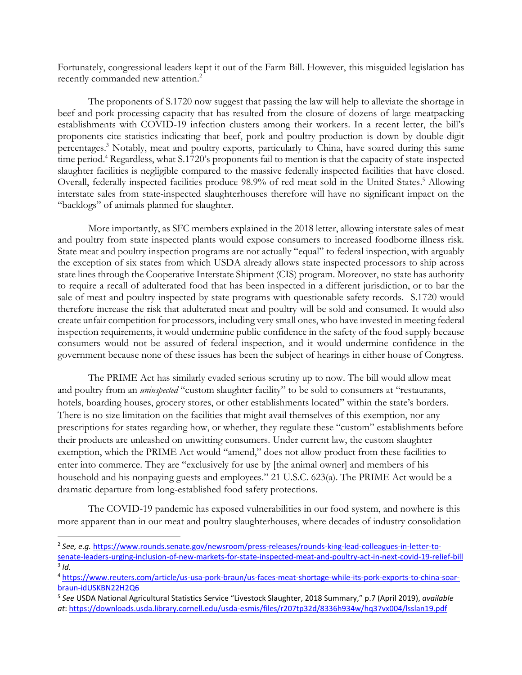Fortunately, congressional leaders kept it out of the Farm Bill. However, this misguided legislation has recently commanded new attention.<sup>2</sup>

The proponents of S.1720 now suggest that passing the law will help to alleviate the shortage in beef and pork processing capacity that has resulted from the closure of dozens of large meatpacking establishments with COVID-19 infection clusters among their workers. In a recent letter, the bill's proponents cite statistics indicating that beef, pork and poultry production is down by double-digit percentages.<sup>3</sup> Notably, meat and poultry exports, particularly to China, have soared during this same time period. <sup>4</sup> Regardless, what S.1720's proponents fail to mention is that the capacity of state-inspected slaughter facilities is negligible compared to the massive federally inspected facilities that have closed. Overall, federally inspected facilities produce 98.9% of red meat sold in the United States.<sup>5</sup> Allowing interstate sales from state-inspected slaughterhouses therefore will have no significant impact on the "backlogs" of animals planned for slaughter.

More importantly, as SFC members explained in the 2018 letter, allowing interstate sales of meat and poultry from state inspected plants would expose consumers to increased foodborne illness risk. State meat and poultry inspection programs are not actually "equal" to federal inspection, with arguably the exception of six states from which USDA already allows state inspected processors to ship across state lines through the Cooperative Interstate Shipment (CIS) program. Moreover, no state has authority to require a recall of adulterated food that has been inspected in a different jurisdiction, or to bar the sale of meat and poultry inspected by state programs with questionable safety records. S.1720 would therefore increase the risk that adulterated meat and poultry will be sold and consumed. It would also create unfair competition for processors, including very small ones, who have invested in meeting federal inspection requirements, it would undermine public confidence in the safety of the food supply because consumers would not be assured of federal inspection, and it would undermine confidence in the government because none of these issues has been the subject of hearings in either house of Congress.

The PRIME Act has similarly evaded serious scrutiny up to now. The bill would allow meat and poultry from an *uninspected* "custom slaughter facility" to be sold to consumers at "restaurants, hotels, boarding houses, grocery stores, or other establishments located" within the state's borders. There is no size limitation on the facilities that might avail themselves of this exemption, nor any prescriptions for states regarding how, or whether, they regulate these "custom" establishments before their products are unleashed on unwitting consumers. Under current law, the custom slaughter exemption, which the PRIME Act would "amend," does not allow product from these facilities to enter into commerce. They are "exclusively for use by [the animal owner] and members of his household and his nonpaying guests and employees." 21 U.S.C. 623(a). The PRIME Act would be a dramatic departure from long-established food safety protections.

The COVID-19 pandemic has exposed vulnerabilities in our food system, and nowhere is this more apparent than in our meat and poultry slaughterhouses, where decades of industry consolidation

<sup>2</sup> *See, e.g.* [https://www.rounds.senate.gov/newsroom/press-releases/rounds-king-lead-colleagues-in-letter-to](https://www.rounds.senate.gov/newsroom/press-releases/rounds-king-lead-colleagues-in-letter-to-senate-leaders-urging-inclusion-of-new-markets-for-state-inspected-meat-and-poultry-act-in-next-covid-19-relief-bill)[senate-leaders-urging-inclusion-of-new-markets-for-state-inspected-meat-and-poultry-act-in-next-covid-19-relief-bill](https://www.rounds.senate.gov/newsroom/press-releases/rounds-king-lead-colleagues-in-letter-to-senate-leaders-urging-inclusion-of-new-markets-for-state-inspected-meat-and-poultry-act-in-next-covid-19-relief-bill) 3 *Id.* 

<sup>4</sup> [https://www.reuters.com/article/us-usa-pork-braun/us-faces-meat-shortage-while-its-pork-exports-to-china-soar](https://www.reuters.com/article/us-usa-pork-braun/us-faces-meat-shortage-while-its-pork-exports-to-china-soar-braun-idUSKBN22H2Q6)[braun-idUSKBN22H2Q6](https://www.reuters.com/article/us-usa-pork-braun/us-faces-meat-shortage-while-its-pork-exports-to-china-soar-braun-idUSKBN22H2Q6)

<sup>5</sup> *See* USDA National Agricultural Statistics Service "Livestock Slaughter, 2018 Summary," p.7 (April 2019), *available at*:<https://downloads.usda.library.cornell.edu/usda-esmis/files/r207tp32d/8336h934w/hq37vx004/lsslan19.pdf>